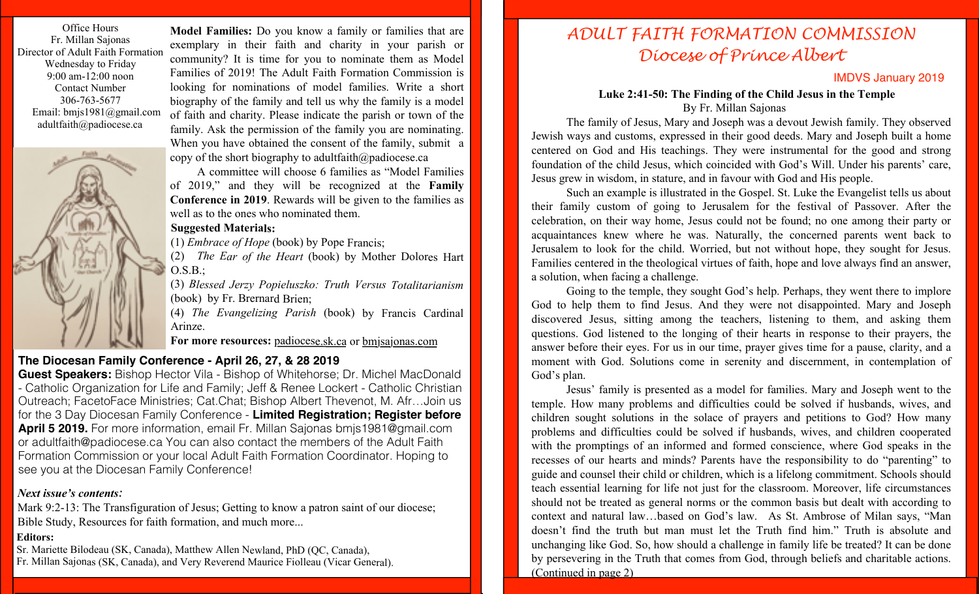Office Hours Fr. Millan Sajonas Director of Adult Faith Formation Wednesday to Friday 9:00 am-12:00 noon Contact Number 306-763-5677 Email: bmjs1981@gmail.com adultfaith@padiocese.ca



**Model Families:** Do you know a family or families that are exemplary in their faith and charity in your parish or community? It is time for you to nominate them as Model Families of 2019! The Adult Faith Formation Commission is looking for nominations of model families. Write a short biography of the family and tell us why the family is a model of faith and charity. Please indicate the parish or town of the family. Ask the permission of the family you are nominating. When you have obtained the consent of the family, submit a copy of the short biography to adultfaith@padiocese.ca

A committee will choose 6 families as "Model Families of 2019," and they will be recognized at the **Family Conference in 2019**. Rewards will be given to the families as well as to the ones who nominated them.

## **Suggested Materials:**

(1) *Embrace of Hope* (book) by Pope Francis;

(2) *The Ear of the Heart* (book) by Mother Dolores Hart  $O.S.B.;$ 

(3) *Blessed Jerzy Popieluszko: Truth Versus Totalitarianism*  (book) by Fr. Brernard Brien;

(4) *The Evangelizing Parish* (book) by Francis Cardinal Arinze.

**For more resources:** padiocese.sk.ca or bmjsajonas.com

## **The Diocesan Family Conference - April 26, 27, & 28 2019**

**Guest Speakers:** Bishop Hector Vila - Bishop of Whitehorse; Dr. Michel MacDonald - Catholic Organization for Life and Family; Jeff & Renee Lockert - Catholic Christian Outreach; FacetoFace Ministries; Cat.Chat; Bishop Albert Thevenot, M. Afr…Join us for the 3 Day Diocesan Family Conference - **Limited Registration; Register before April 5 2019.** For more information, email Fr. Millan Sajonas bmjs1981@gmail.com or adultfaith@padiocese.ca You can also contact the members of the Adult Faith Formation Commission or your local Adult Faith Formation Coordinator. Hoping to see you at the Diocesan Family Conference!

## *Next issue's contents:*

Mark 9:2-13: The Transfiguration of Jesus; Getting to know a patron saint of our diocese; Bible Study, Resources for faith formation, and much more...

## **Editors:**

Sr. Mariette Bilodeau (SK, Canada), Matthew Allen Newland, PhD (QC, Canada), Fr. Millan Sajonas (SK, Canada), and Very Reverend Maurice Fiolleau (Vicar General).

# *ADULT FAITH FORMATION COMMISSION Diocese of Prince Albert*

## IMDVS January 2019

## **Luke 2:41-50: The Finding of the Child Jesus in the Temple**

By Fr. Millan Sajonas

The family of Jesus, Mary and Joseph was a devout Jewish family. They observed Jewish ways and customs, expressed in their good deeds. Mary and Joseph built a home centered on God and His teachings. They were instrumental for the good and strong foundation of the child Jesus, which coincided with God's Will. Under his parents' care, Jesus grew in wisdom, in stature, and in favour with God and His people.

Such an example is illustrated in the Gospel. St. Luke the Evangelist tells us about their family custom of going to Jerusalem for the festival of Passover. After the celebration, on their way home, Jesus could not be found; no one among their party or acquaintances knew where he was. Naturally, the concerned parents went back to Jerusalem to look for the child. Worried, but not without hope, they sought for Jesus. Families centered in the theological virtues of faith, hope and love always find an answer, a solution, when facing a challenge.

Going to the temple, they sought God's help. Perhaps, they went there to implore God to help them to find Jesus. And they were not disappointed. Mary and Joseph discovered Jesus, sitting among the teachers, listening to them, and asking them questions. God listened to the longing of their hearts in response to their prayers, the answer before their eyes. For us in our time, prayer gives time for a pause, clarity, and a moment with God. Solutions come in serenity and discernment, in contemplation of God's plan.

Jesus' family is presented as a model for families. Mary and Joseph went to the temple. How many problems and difficulties could be solved if husbands, wives, and children sought solutions in the solace of prayers and petitions to God? How many problems and difficulties could be solved if husbands, wives, and children cooperated with the promptings of an informed and formed conscience, where God speaks in the recesses of our hearts and minds? Parents have the responsibility to do "parenting" to guide and counsel their child or children, which is a lifelong commitment. Schools should teach essential learning for life not just for the classroom. Moreover, life circumstances should not be treated as general norms or the common basis but dealt with according to context and natural law…based on God's law. As St. Ambrose of Milan says, "Man doesn't find the truth but man must let the Truth find him." Truth is absolute and unchanging like God. So, how should a challenge in family life be treated? It can be done by persevering in the Truth that comes from God, through beliefs and charitable actions. (Continued in page 2)